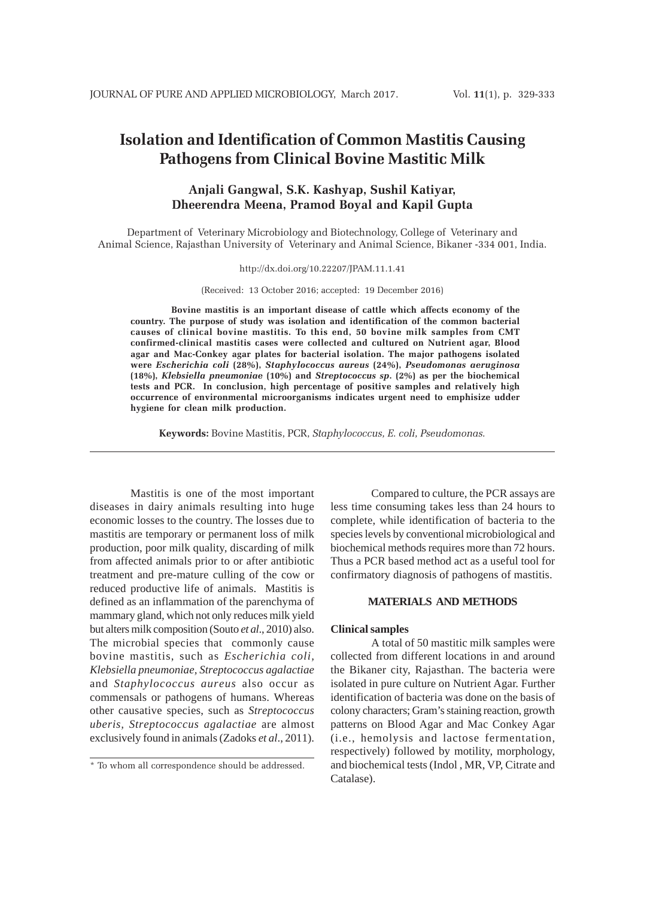# **Isolation and Identification of Common Mastitis Causing Pathogens from Clinical Bovine Mastitic Milk**

## **Anjali Gangwal, S.K. Kashyap, Sushil Katiyar, Dheerendra Meena, Pramod Boyal and Kapil Gupta**

Department of Veterinary Microbiology and Biotechnology, College of Veterinary and Animal Science, Rajasthan University of Veterinary and Animal Science, Bikaner -334 001, India.

http://dx.doi.org/10.22207/JPAM.11.1.41

(Received: 13 October 2016; accepted: 19 December 2016)

**Bovine mastitis is an important disease of cattle which affects economy of the country. The purpose of study was isolation and identification of the common bacterial causes of clinical bovine mastitis. To this end, 50 bovine milk samples from CMT confirmed-clinical mastitis cases were collected and cultured on Nutrient agar, Blood agar and Mac-Conkey agar plates for bacterial isolation. The major pathogens isolated were** *Escherichia coli* **(28%),** *Staphylococcus aureus* **(24%),** *Pseudomonas aeruginosa* **(18%),** *Klebsiella pneumoniae* **(10%) and** *Streptococcus sp***. (2%) as per the biochemical tests and PCR. In conclusion, high percentage of positive samples and relatively high occurrence of environmental microorganisms indicates urgent need to emphisize udder hygiene for clean milk production.**

**Keywords:** Bovine Mastitis, PCR, *Staphylococcus, E. coli, Pseudomonas.*

Mastitis is one of the most important diseases in dairy animals resulting into huge economic losses to the country. The losses due to mastitis are temporary or permanent loss of milk production, poor milk quality, discarding of milk from affected animals prior to or after antibiotic treatment and pre-mature culling of the cow or reduced productive life of animals. Mastitis is defined as an inflammation of the parenchyma of mammary gland, which not only reduces milk yield but alters milk composition (Souto *et al*., 2010) also. The microbial species that commonly cause bovine mastitis, such as *Escherichia coli, Klebsiella pneumoniae, Streptococcus agalactiae* and *Staphylococcus aureus* also occur as commensals or pathogens of humans. Whereas other causative species, such as *Streptococcus uberis, Streptococcus agalactiae* are almost exclusively found in animals (Zadoks *et al*., 2011).

Compared to culture, the PCR assays are less time consuming takes less than 24 hours to complete, while identification of bacteria to the species levels by conventional microbiological and biochemical methods requires more than 72 hours. Thus a PCR based method act as a useful tool for confirmatory diagnosis of pathogens of mastitis.

#### **MATERIALS AND METHODS**

### **Clinical samples**

A total of 50 mastitic milk samples were collected from different locations in and around the Bikaner city, Rajasthan. The bacteria were isolated in pure culture on Nutrient Agar. Further identification of bacteria was done on the basis of colony characters; Gram's staining reaction, growth patterns on Blood Agar and Mac Conkey Agar (i.e., hemolysis and lactose fermentation, respectively) followed by motility, morphology, and biochemical tests (Indol , MR, VP, Citrate and Catalase).

<sup>\*</sup> To whom all correspondence should be addressed.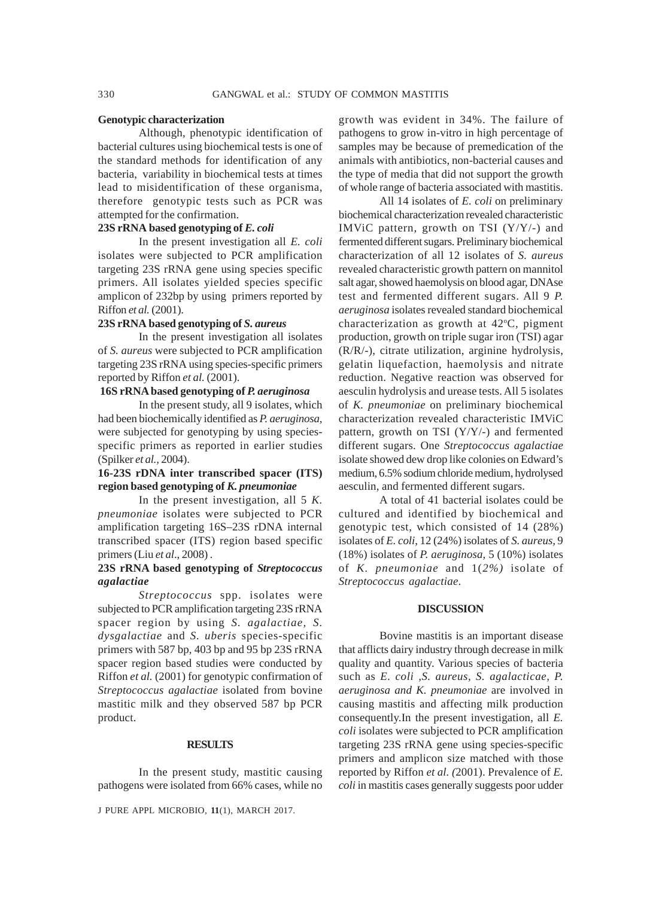#### **Genotypic characterization**

Although, phenotypic identification of bacterial cultures using biochemical tests is one of the standard methods for identification of any bacteria, variability in biochemical tests at times lead to misidentification of these organisma, therefore genotypic tests such as PCR was attempted for the confirmation.

#### **23S rRNA based genotyping of** *E. coli*

In the present investigation all *E. coli* isolates were subjected to PCR amplification targeting 23S rRNA gene using species specific primers. All isolates yielded species specific amplicon of 232bp by using primers reported by Riffon *et al.* (2001).

### **23S rRNA based genotyping of** *S. aureus*

In the present investigation all isolates of *S. aureus* were subjected to PCR amplification targeting 23S rRNA using species-specific primers reported by Riffon *et al.* (2001).

### **16S rRNA based genotyping of** *P. aeruginosa*

In the present study, all 9 isolates, which had been biochemically identified as *P. aeruginosa,* were subjected for genotyping by using speciesspecific primers as reported in earlier studies (Spilker *et al.,* 2004).

### **16-23S rDNA inter transcribed spacer (ITS) region based genotyping of** *K. pneumoniae*

In the present investigation, all 5 *K. pneumoniae* isolates were subjected to PCR amplification targeting 16S–23S rDNA internal transcribed spacer (ITS) region based specific primers (Liu *et al*., 2008) .

### **23S rRNA based genotyping of** *Streptococcus agalactiae*

*Streptococcus* spp. isolates were subjected to PCR amplification targeting 23S rRNA spacer region by using *S. agalactiae, S. dysgalactiae* and *S. uberis* species-specific primers with 587 bp, 403 bp and 95 bp 23S rRNA spacer region based studies were conducted by Riffon *et al.* (2001) for genotypic confirmation of *Streptococcus agalactiae* isolated from bovine mastitic milk and they observed 587 bp PCR product.

#### **RESULTS**

In the present study, mastitic causing pathogens were isolated from 66% cases, while no

J PURE APPL MICROBIO*,* **11**(1), MARCH 2017.

growth was evident in 34%. The failure of pathogens to grow in-vitro in high percentage of samples may be because of premedication of the animals with antibiotics, non-bacterial causes and the type of media that did not support the growth of whole range of bacteria associated with mastitis.

All 14 isolates of *E. coli* on preliminary biochemical characterization revealed characteristic IMViC pattern, growth on TSI (Y/Y/-) and fermented different sugars. Preliminary biochemical characterization of all 12 isolates of *S. aureus* revealed characteristic growth pattern on mannitol salt agar, showed haemolysis on blood agar, DNAse test and fermented different sugars. All 9 *P. aeruginosa* isolates revealed standard biochemical characterization as growth at  $42^{\circ}$ C, pigment production, growth on triple sugar iron (TSI) agar (R/R/-), citrate utilization, arginine hydrolysis, gelatin liquefaction, haemolysis and nitrate reduction. Negative reaction was observed for aesculin hydrolysis and urease tests. All 5 isolates of *K. pneumoniae* on preliminary biochemical characterization revealed characteristic IMViC pattern, growth on TSI (Y/Y/-) and fermented different sugars. One *Streptococcus agalactiae* isolate showed dew drop like colonies on Edward's medium, 6.5% sodium chloride medium, hydrolysed aesculin, and fermented different sugars.

A total of 41 bacterial isolates could be cultured and identified by biochemical and genotypic test, which consisted of 14 (28%) isolates of *E. coli*, 12 (24%) isolates of *S. aureus,* 9 (18%) isolates of *P. aeruginosa,* 5 (10%) isolates of *K. pneumoniae* and 1(*2%)* isolate of *Streptococcus agalactiae*.

#### **DISCUSSION**

Bovine mastitis is an important disease that afflicts dairy industry through decrease in milk quality and quantity. Various species of bacteria such as *E. coli ,S. aureus, S. agalacticae, P. aeruginosa and K. pneumoniae* are involved in causing mastitis and affecting milk production consequently.In the present investigation, all *E. coli* isolates were subjected to PCR amplification targeting 23S rRNA gene using species-specific primers and amplicon size matched with those reported by Riffon *et al. (*2001). Prevalence of *E. coli* in mastitis cases generally suggests poor udder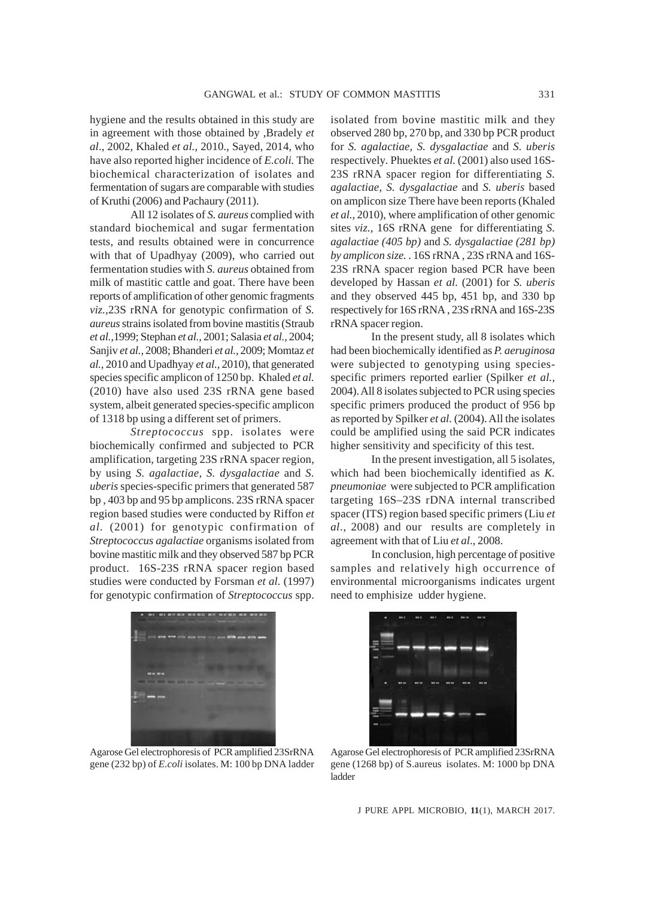hygiene and the results obtained in this study are in agreement with those obtained by ,Bradely *et al*., 2002, Khaled *et al.,* 2010., Sayed, 2014, who have also reported higher incidence of *E.coli.* The biochemical characterization of isolates and fermentation of sugars are comparable with studies of Kruthi (2006) and Pachaury (2011).

All 12 isolates of *S. aureus* complied with standard biochemical and sugar fermentation tests, and results obtained were in concurrence with that of Upadhyay (2009), who carried out fermentation studies with *S. aureus* obtained from milk of mastitic cattle and goat. There have been reports of amplification of other genomic fragments *viz.,*23S rRNA for genotypic confirmation of *S. aureus* strains isolated from bovine mastitis (Straub *et al.,*1999; Stephan *et al.,* 2001; Salasia *et al.,* 2004; Sanjiv *et al.,* 2008; Bhanderi *et al.,* 2009; Momtaz *et al.,* 2010 and Upadhyay *et al.,* 2010), that generated species specific amplicon of 1250 bp. Khaled *et al.* (2010) have also used 23S rRNA gene based system, albeit generated species-specific amplicon of 1318 bp using a different set of primers.

*Streptococcus* spp. isolates were biochemically confirmed and subjected to PCR amplification, targeting 23S rRNA spacer region, by using *S. agalactiae, S. dysgalactiae* and *S. uberis* species-specific primers that generated 587 bp , 403 bp and 95 bp amplicons. 23S rRNA spacer region based studies were conducted by Riffon *et al.* (2001) for genotypic confirmation of *Streptococcus agalactiae* organismsisolated from bovine mastitic milk and they observed 587 bp PCR product. 16S-23S rRNA spacer region based studies were conducted by Forsman *et al.* (1997) for genotypic confirmation of *Streptococcus* spp.

isolated from bovine mastitic milk and they observed 280 bp, 270 bp, and 330 bp PCR product for *S. agalactiae, S. dysgalactiae* and *S. uberis* respectively*.* Phuektes *et al.* (2001) also used 16S-23S rRNA spacer region for differentiating *S. agalactiae, S. dysgalactiae* and *S. uberis* based on amplicon size There have been reports (Khaled *et al.,* 2010), where amplification of other genomic sites *viz.,* 16S rRNA gene for differentiating *S. agalactiae (405 bp)* and *S. dysgalactiae (281 bp) by amplicon size.* . 16S rRNA , 23S rRNA and 16S-23S rRNA spacer region based PCR have been developed by Hassan *et al.* (2001) for *S. uberis* and they observed 445 bp, 451 bp, and 330 bp respectively for 16S rRNA , 23S rRNA and 16S-23S rRNA spacer region.

In the present study, all 8 isolates which had been biochemically identified as *P. aeruginosa* were subjected to genotyping using speciesspecific primers reported earlier (Spilker *et al.,* 2004). All 8 isolates subjected to PCR using species specific primers produced the product of 956 bp as reported by Spilker *et al.* (2004). All the isolates could be amplified using the said PCR indicates higher sensitivity and specificity of this test.

In the present investigation, all 5 isolates, which had been biochemically identified as *K. pneumoniae* were subjected to PCR amplification targeting 16S–23S rDNA internal transcribed spacer (ITS) region based specific primers (Liu *et al*., 2008) and our results are completely in agreement with that of Liu *et al*., 2008.

In conclusion, high percentage of positive samples and relatively high occurrence of environmental microorganisms indicates urgent need to emphisize udder hygiene.



Agarose Gel electrophoresis of PCR amplified 23SrRNA gene (232 bp) of *E.coli* isolates. M: 100 bp DNA ladder



Agarose Gel electrophoresis of PCR amplified 23SrRNA gene (1268 bp) of S.aureus isolates. M: 1000 bp DNA ladder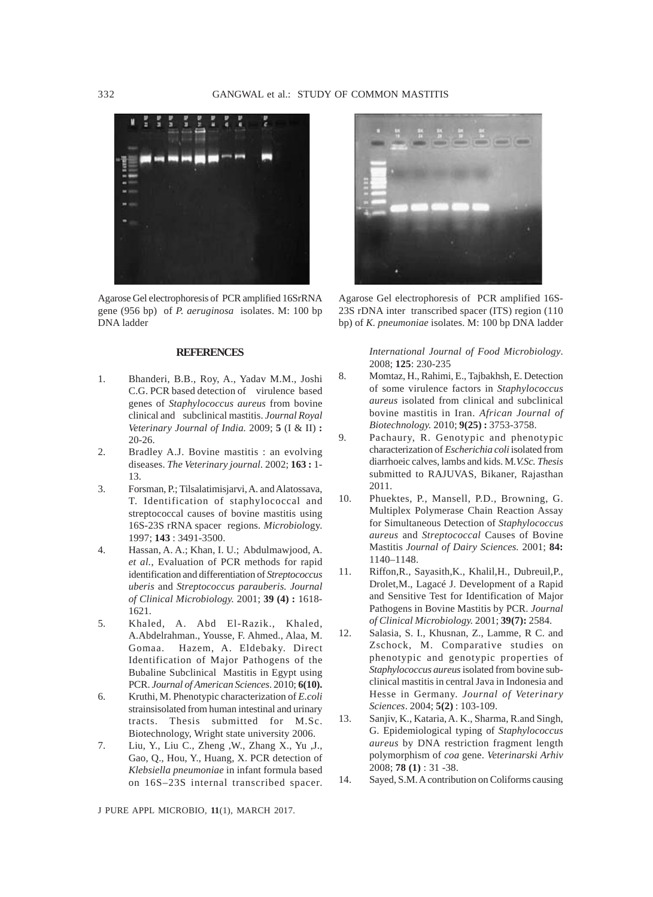

Agarose Gel electrophoresis of PCR amplified 16SrRNA gene (956 bp) of *P. aeruginosa* isolates. M: 100 bp DNA ladder

#### **REFERENCES**

- 1. Bhanderi, B.B., Roy, A., Yadav M.M., Joshi C.G. PCR based detection of virulence based genes of *Staphylococcus aureus* from bovine clinical and subclinical mastitis. *Journal Royal Veterinary Journal of India.* 2009; **5** (I & II) **:** 20-26.
- 2. Bradley A.J. Bovine mastitis : an evolving diseases. *The Veterinary journal.* 2002; **163 :** 1- 13.
- 3. Forsman, P.; Tilsalatimisjarvi, A. and Alatossava, T. Identification of staphylococcal and streptococcal causes of bovine mastitis using 16S-23S rRNA spacer regions. *Microbiol*ogy. 1997; **143** : 3491-3500.
- 4. Hassan, A. A.; Khan, I. U.; Abdulmawjood, A. *et al.*, Evaluation of PCR methods for rapid identification and differentiation of *Streptococcus uberis* and *Streptococcus parauberis. Journal of Clinical Microbiology.* 2001; **39 (4) :** 1618- 1621.
- 5. Khaled, A. Abd El-Razik., Khaled, A.Abdelrahman., Yousse, F. Ahmed., Alaa, M. Gomaa. Hazem, A. Eldebaky. Direct Identification of Major Pathogens of the Bubaline Subclinical Mastitis in Egypt using PCR. *Journal of American Sciences*. 2010; **6(10).**
- 6. Kruthi, M. Phenotypic characterization of *E.coli* strainsisolated from human intestinal and urinary tracts. Thesis submitted for M.Sc. Biotechnology, Wright state university 2006.
- 7. Liu, Y., Liu C., Zheng ,W., Zhang X., Yu ,J., Gao, Q., Hou, Y., Huang, X. PCR detection of *Klebsiella pneumoniae* in infant formula based on 16S–23S internal transcribed spacer.



Agarose Gel electrophoresis of PCR amplified 16S-23S rDNA inter transcribed spacer (ITS) region (110 bp) of *K. pneumoniae* isolates. M: 100 bp DNA ladder

> *International Journal of Food Microbiology*. 2008; **125**: 230-235

- 8. Momtaz, H., Rahimi, E., Tajbakhsh, E. Detection of some virulence factors in *Staphylococcus aureus* isolated from clinical and subclinical bovine mastitis in Iran. *African Journal of Biotechnology.* 2010; **9(25) :** 3753-3758.
- 9. Pachaury, R. Genotypic and phenotypic characterization of *Escherichia coli* isolated from diarrhoeic calves, lambs and kids. M*.V.Sc. Thesis* submitted to RAJUVAS, Bikaner, Rajasthan 2011.
- 10. Phuektes, P., Mansell, P.D., Browning, G. Multiplex Polymerase Chain Reaction Assay for Simultaneous Detection of *Staphylococcus aureus* and *Streptococcal* Causes of Bovine Mastitis *Journal of Dairy Sciences.* 2001; **84:** 1140–1148.
- 11. Riffon,R., Sayasith,K., Khalil,H., Dubreuil,P., Drolet,M., Lagacé J. Development of a Rapid and Sensitive Test for Identification of Major Pathogens in Bovine Mastitis by PCR. *Journal of Clinical Microbiology.* 2001; **39(7):** 2584.
- 12. Salasia, S. I., Khusnan, Z., Lamme, R C. and Zschock, M. Comparative studies on phenotypic and genotypic properties of *Staphylococcus aureus* isolated from bovine subclinical mastitis in central Java in Indonesia and Hesse in Germany. *Journal of Veterinary Sciences*. 2004; **5(2)** : 103-109.
- 13. Sanjiv, K., Kataria, A. K., Sharma, R.and Singh, G. Epidemiological typing of *Staphylococcus aureus* by DNA restriction fragment length polymorphism of *coa* gene. *Veterinarski Arhiv* 2008; **78 (1)** : 31 -38.
- 14. Sayed, S.M. A contribution on Coliforms causing

J PURE APPL MICROBIO*,* **11**(1), MARCH 2017.